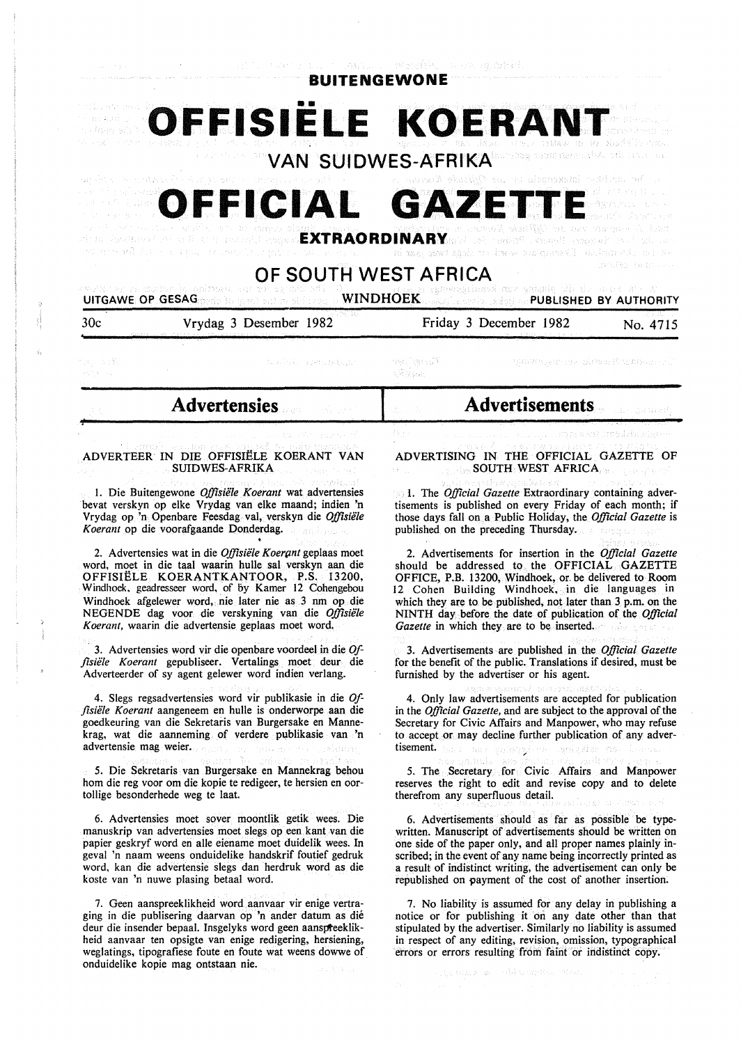**BUITENGEWONE** 

**FFISIELE KOERAN VAN SUIDWES-AFRIKA** 

**FFICIAL GAZET** September Bearing Badan Go.

**EXTRAORDINARY** 

# **OF SOUTH WEST AFRICA**

**UITGAWE OP GESAG WINDHOEK PUBLISHED BY AUTHORITY** 

| 30 <sub>c</sub>      | Vrydag 3 Desember 1982<br>and that has been assessed the company of the company of the second control of the company of the company of the company of the company of the company of the company of the company of the company of the company of the comp<br>the company of the company of the company of the company of the company of the company of the company of the company of the company of the company of the company of the company of the company of the company of the company | Friday 3 December 1982<br>222222339 2012 2022 2033 2040 2040 2051 | a shekara ta 19<br>No. 4715                                                                                    |
|----------------------|-------------------------------------------------------------------------------------------------------------------------------------------------------------------------------------------------------------------------------------------------------------------------------------------------------------------------------------------------------------------------------------------------------------------------------------------------------------------------------------------|-------------------------------------------------------------------|----------------------------------------------------------------------------------------------------------------|
| 저 처음 구성함.<br>计语句 计单位 | The selection of the period performance                                                                                                                                                                                                                                                                                                                                                                                                                                                   | $-$ Factor $\int p(r)dr =$<br>o Victoria                          | - "governer alrea finitioner".                                                                                 |
|                      | <b>Advertensies</b><br>The contract of the contract of                                                                                                                                                                                                                                                                                                                                                                                                                                    | Advertisements                                                    | a state and a state of the state of the state of the state of the state of the state of the state of the state |

#### ADVERTEER IN DIE OFFISIELE KOERANT VAN SUIDWES-AFRIKA

 $31.272$ 

I. Die Buitengewone *Offisiele Koerant* wat advertensies bevat verskyn op elke Vrydag van elke maand; indien 'n Vrydag op 'n Openbare Feesdag val, verskyn die *Offisiele Koerant* op die voorafgaande Donderdag.

2. Advertensies wat in die *Offisiele Koerpnt* geplaas moet word, moet in die taal waarin bulle sal verskyn aan die OFFISIELE KOERANTKANTOOR, P.S. 13200, Windhoek. geadresseer word, of by Kamer 12 Cohengebou Windhoek afgelewer word,. nie later nie as 3 nm op die NEGENDE dag voor die verskyning van die *Offisiele Koerant,* waarin die advertensie geplaas moet word.

· 3. Advertensies word vir die openbare voordeel in die *Offisiele Koerant* gepubliseer. Vertalings moet deur die Adverteerder of sy agent gelewer word indien verlang.

4. Slegs regsadvertensies word vir publikasie in die *Offisiele Koerant* aangeneem en bulle is onderworpe aan die goedkeuring van die Sekretaris van Burgersake en Mannekrag, wat die aanneming of verdere publikasie van 'n advertensie mag weier.

5. Die Sekretaris van Burgersake en Mannekrag behou hom die reg voor om die kopie te redigeer, te hersien en oortollige besonderhede weg te laat.

6. Advertensies moet sover moontlik getik wees. Die manuskrip van advertensies moet slegs op een kant van die papier geskryf word en aile eiename moet duidelik wees. In geval 'n naam weens onduidelike handskrif foutief gedruk word, kan die advertensie slegs dan herdruk word as die koste van 'n nuwe plasing betaal word.

7. Geen aanspreeklikheid word aanvaar vir enige vertraging in die publisering daarvan op 'n ander datum as die deur die insender bepaal. Insgelyks word geen aanspteeklikheid aanvaar ten opsigte van enige redigering, hersiening, weglatings, tipografiese foute en foute wat weens dowwe of onduidelike kopie mag ontstaan nie.

ADVERTISING IN THE OFFICIAL GAZETTE OF SOUTH WEST AFRICA

enteres por rense d'Avendres,

l. The *Official Gazette* Extraordinary containing advertisements is published on every Friday of each month; if those days fall on a Public Holiday, the *Official Gazette* is published on the preceding Thursday.

2. Advertisements for insertion in the *Official Gazette*  should be addressed to the OFFICIAL GAZETTE OFFICE, P.B. 13200, Windhoek, or. be delivered to Room 12 Cohen Building Windhoek, in die languages in which they are to be published, not later than 3 p.m. on the NINTH day before the date of publication of the *Official Gazette* in which they are to be inserted.

3. Advertisements are published in the *Official Gazette*  for the benefit of the public. Translations if desired, must be furnished by the advertiser or his agent.

4. Only law advertisements are accepted for publication in the *Official Gazette,* and are subject to the approval of the Secretary for Civic Affairs and Manpower, who may refuse to accept or may decline further publication of any advertisement. wer gniegst i nesi goli za

5. The Secretary for Civic Affairs and Manpower reserves the right to edit and revise copy and to delete therefrom any superfluous detail.

6. Advertisements should as far as possible be typewritten. Manuscript of advertisements should be written on one side of the paper only, and all proper names plainly inscribed; in the event of any name being incorrectly printed as a result of indistinct writing, the advertisement can only be republished on payment of the cost of another insertion.

7. No liability is assumed for any delay in publishing a notice or for publishing it on any date other than that stipulated by the advertiser. Similarly no liability is assumed in respect of any editing, revision, omission, typographical errors or errors resulting from faint or indistinct copy.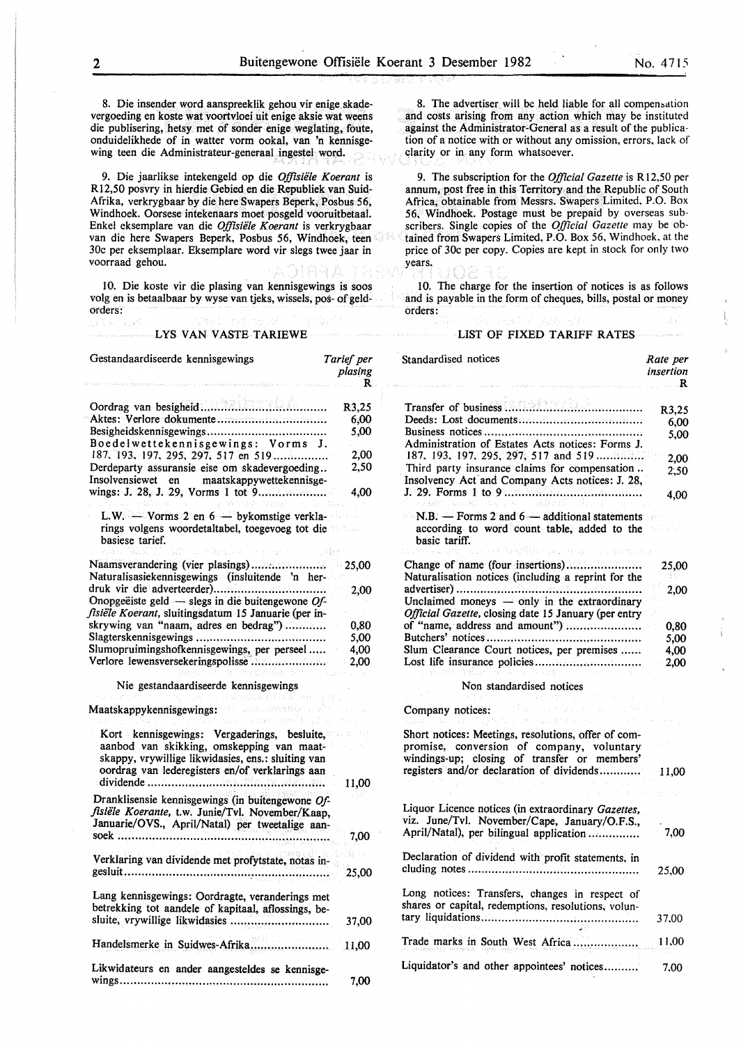8. Die insender word aanspreeklik gehou vir enige skadevergoeding en koste wat voortvloei uit enige aksie wat weens die publisering, betsy met of sonder enige weglating, foute, onduidelikhede of in watter vorm ookal, van 'n kennisgewing teen die Administrateur-generaal ingestel word.

9. Die jaarlikse intekengeld op die *Offisiele Koerant* is Rl2,50 posvry in hierdie Gebied en die Republiek van Suid-Afrika, verkrygbaar by die here Swapers Beperk, Posbus *56,*  Windhoek. Oorsese intekenaars moet posgeld vooruitbetaal. Enkel eksemplare van die *Offisiele Koerant* is verkrygbaar van die here Swapers Beperk, Posbus 56, Windhoek, teen 30c per eksemplaar. Eksemplare word vir slegs twee jaar in voorraad gehou.

10. Die koste vir die plasing van kennisgewings is soos volg en is betaalbaar by wyse van tjeks, wissels, pos- of geldorders:

#### LYS VAN VASTE TARIEWE

ł.

8. The advertiser will be held liable for all compensation and costs arising from any action which may be instituted against the Administrator-General as a result of the publication of a notice with or without any omission, errors, lack of clarity or in any form whatsoever.

9. The subscription for the *Official Gazette* is RI2,50 per annum, post free in this Territory and the Republic of South Africa, obtainable from Messrs. Swapers Limited, P.O. Box 56, Windhoek. Postage must be prepaid by overseas subscribers. Single copies of the *Official Gazette* may be obtained from Swapers Limited, P.O. Box 56, Windhoek. at the price of 30c per copy. Copies are kept in stock for only two years.

10. The charge for the insertion of notices is as follows and is payable in the form of cheques, bills, postal or money orders:

#### LIST OF FIXED TARIFF RATES

| Gestandaardiseerde kennisgewings                                                                                                                                                                                                                                                                                               | Tarief per<br>plasing<br>R                    | Standardised notices                                                                                                                                                                                                                                                                                    | Rate per<br>insertion<br>R                    |
|--------------------------------------------------------------------------------------------------------------------------------------------------------------------------------------------------------------------------------------------------------------------------------------------------------------------------------|-----------------------------------------------|---------------------------------------------------------------------------------------------------------------------------------------------------------------------------------------------------------------------------------------------------------------------------------------------------------|-----------------------------------------------|
| Boedelwettekennisgewings: Vorms J.<br>187, 193, 197, 295, 297, 517 en 519<br>Derdeparty assuransie eise om skadevergoeding<br>Insolvensiewet en<br>maatskappywettekennisge-<br>Divide a compart of the set of the sound                                                                                                        | R3,25<br>6,00<br>5,00<br>2,00<br>2,50<br>4,00 | Administration of Estates Acts notices: Forms J.<br>187, 193, 197, 295, 297, 517 and 519<br>Third party insurance claims for compensation<br>Insolvency Act and Company Acts notices: J. 28,<br>母親のこの見解しない バード 混合力的に                                                                                    | R3,25<br>6,00<br>5,00<br>2.00<br>2.50<br>4.00 |
| L.W. $\rightarrow$ Vorms 2 en 6 $\rightarrow$ bykomstige verkla-<br>rings volgens woordetaltabel, toegevoeg tot die<br>basiese tarief.<br>Steatun transmitte                                                                                                                                                                   |                                               | $N.B.$ — Forms 2 and 6 — additional statements<br>according to word count table, added to the<br>basic tariff.<br>and Devilley at application and prog                                                                                                                                                  |                                               |
| Naamsverandering (vier plasings)<br>Naturalisasiekennisgewings (insluitende 'n her-<br>Onopgeëiste geld $-$ slegs in die buitengewone Of-<br>fisiële Koerant, sluitingsdatum 15 Januarie (per in-<br>skrywing van "naam, adres en bedrag")<br>Slumopruimingshofkennisgewings, per perseel<br>Verlore lewensversekeringspolisse | 25,00<br>2,00<br>0,80<br>5,00<br>4,00<br>2,00 | Change of name (four insertions)<br>Naturalisation notices (including a reprint for the<br>Unclaimed moneys $-$ only in the extraordinary<br>Official Gazette, closing date 15 January (per entry<br>of "name, address and amount")<br>Slum Clearance Court notices, per premises<br>から出して わいて コードメントコー | 25,00<br>2,00<br>0,80<br>5,00<br>4,00<br>2,00 |
| Nie gestandaardiseerde kennisgewings<br>マード、大量のも投影的な はゆ やかしてばし                                                                                                                                                                                                                                                                 |                                               | Non standardised notices                                                                                                                                                                                                                                                                                |                                               |
| Maatskappykennisgewings: West and answer a safe<br>Calle in Cassar Health (1791)                                                                                                                                                                                                                                               |                                               | Company notices:<br>ana taana ay ing Silaa sa mark                                                                                                                                                                                                                                                      |                                               |
| Kort kennisgewings: Vergaderings, besluite,<br>aanbod van skikking, omskepping van maat-<br>skappy, vrywillige likwidasies, ens.: sluiting van<br>oordrag van lederegisters en/of verklarings aan                                                                                                                              | 11,00                                         | Short notices: Meetings, resolutions, offer of com-<br>promise, conversion of company, voluntary<br>windings-up; closing of transfer or members'<br>registers and/or declaration of dividends                                                                                                           | 11,00                                         |
| Dranklisensie kennisgewings (in buitengewone Of-<br>fisiële Koerante, t.w. Junie/Tvl. November/Kaap,<br>Januarie/OVS., April/Natal) per tweetalige aan-                                                                                                                                                                        | 7,00                                          | Liquor Licence notices (in extraordinary <i>Gazettes</i> ,<br>viz. June/Tvl. November/Cape, January/O.F.S.,<br>April/Natal), per bilingual application                                                                                                                                                  | 7,00                                          |
| Verklaring van dividende met profytstate, notas in-                                                                                                                                                                                                                                                                            | 25,00                                         | Declaration of dividend with profit statements, in                                                                                                                                                                                                                                                      | 25,00                                         |
| Lang kennisgewings: Oordragte, veranderings met<br>betrekking tot aandele of kapitaal, aflossings, be-                                                                                                                                                                                                                         | 37,00                                         | Long notices: Transfers, changes in respect of<br>shares or capital, redemptions, resolutions, volun-                                                                                                                                                                                                   | 37,00                                         |
| Handelsmerke in Suidwes-Afrika                                                                                                                                                                                                                                                                                                 | 11,00                                         | Trade marks in South West Africa                                                                                                                                                                                                                                                                        | 11,00                                         |
| Likwidateurs en ander aangesteldes se kennisge-                                                                                                                                                                                                                                                                                |                                               | Liquidator's and other appointees' notices                                                                                                                                                                                                                                                              | 7,00                                          |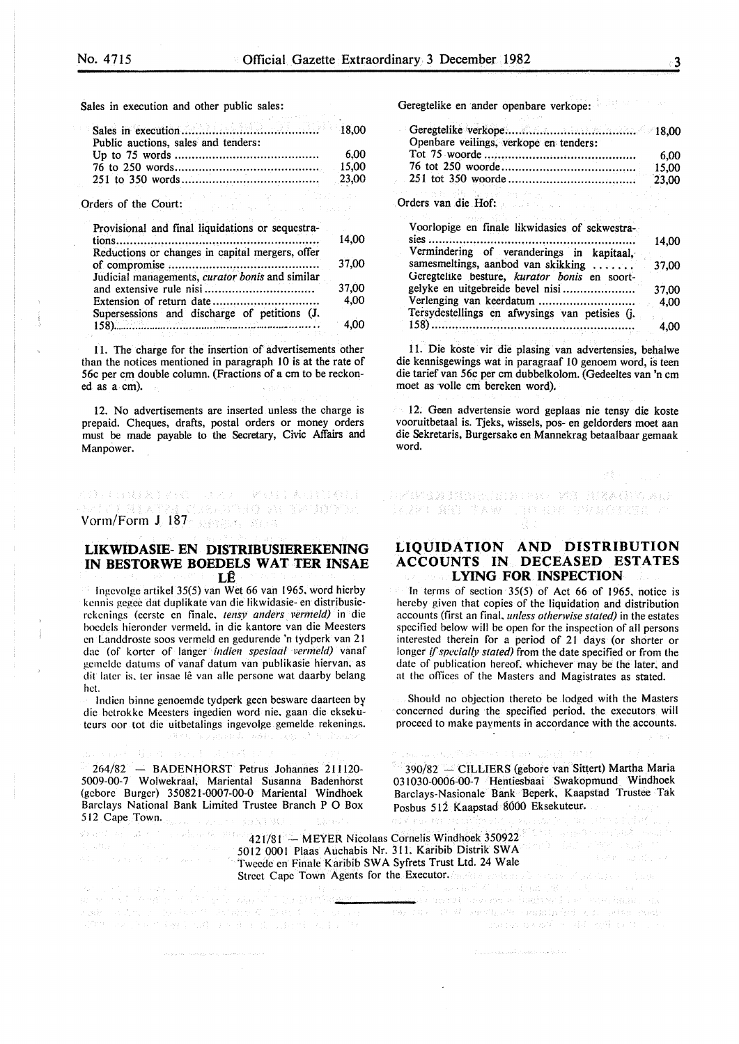Sales in execution and other public sales:

| Public auctions, sales and tenders: |  |
|-------------------------------------|--|
|                                     |  |
|                                     |  |
|                                     |  |

in a chuid ann an 1970.<br>Tha bha an t-àite an t-àite an 19

Orders of the Court:

hct.

| Provisional and final liquidations or sequestra- |       |
|--------------------------------------------------|-------|
|                                                  |       |
| Reductions or changes in capital mergers, offer  |       |
|                                                  |       |
| Judicial managements, curator bonis and similar  |       |
|                                                  | 37,00 |
|                                                  | 4,00  |
| Supersessions and discharge of petitions (J.     |       |
| . <b>.</b> .                                     | 4.00  |

11. The charge for the insertion of advertisements other than the notices mentioned in paragraph 10 is at the rate of 56c per em double column. (Fractions of a em to be reckoned as a cm).

12. No advertisements are inserted unless the charge is prepaid. Cheques, drafts, postal orders or money orders must be made payable to the Secretary, Civic Affairs and Manpower.

# (1) 经国际人工的公司 人民人民 医眼镜 医皮肤性 化合金 **Vorm/Form J 187** Respectively at the HDOOR

## **LIKWIDASIE- EN DISTRIBUSIEREKENING IN BESTORWE BOEDELS WAT TER INSAE LE**

Ingevolge artikel 35(5) van Wet 66 van 1965, word hierby kennis gegee dat duplikate van die likwidasie- en distribusierckcnings (cerste en finale. *tensy anders vermeld)* in die hoedels hieronder vermeld. in die kantore van die Meesters en Landdroste soos vermeld en gedurende 'n tydperk van 21 dac (of korter of Ianger *indien spesiaal vermeld)* vanaf gemelde datums of vanaf datum van publikasie hiervan, as dit later is, ter insae lê van alle persone wat daarby belang

Indien binne genoemde tydperk geen besware daarteen by die hctrokke Meesters ingedien word nie. gaan die eksekutcurs oor. tot die uitbetalings ingevolge gemelde rekenings. art, bogangand, sôfa, ा स्थान गरी

264/82 - BADENHORST Petrus Johannes 211120-5009-00-7 Wolwekraal, Mariental Susanna Badenhorst (gcbore Burger) 350821-0007-00-0 Mariental Windhoek Barclays National Bank Limited Trustee Branch P 0 Box 512 Cape Town.

Value Sand avec Collectif

Geregtelike en ander openbare verkope:

| Openbare veilings, verkope en tenders: |       |
|----------------------------------------|-------|
|                                        | 6.00  |
|                                        | 15.00 |
|                                        | 23,00 |

Orders van die Hof:

| Voorlopige en finale likwidasies of sekwestra-<br>sies $\dots$                     | 14.00 |
|------------------------------------------------------------------------------------|-------|
| Vermindering of veranderings in kapitaal,                                          |       |
| samesmeltings, aanbod van skikking<br>Geregtelike besture, kurator bonis en soort- | 37,00 |
| gelyke en uitgebreide bevel nisi                                                   | 37.00 |
| Verlenging van keerdatum<br>Tersydestellings en afwysings van petisies (j.         | 4.00  |
| 158)                                                                               | 4.00  |

11. Die koste vir die plasing van advertensies, behalwe die kennisgewings wat in paragraaf 10 genoem word, is teen die tarief van 56c per cm dubbelkolom. (Gedeeltes van 'n cm moet as voile em bereken word).

12. Geen advertensie word geplaas nie tensy die koste vooruitbetaal is. Tjeks, wissels, pos- en geldorders moet aan die Sekretaris, Burgersake en Mannekrag betaalbaar gemaak word.

-<br>以来的 ( 食服) ( T A W ) ( T C ) ( E ) ( ) ( F V S C T X T 2 ) ( )

# **LIQUIDATION AND DISTRIBUTION ACCOUNTS IN DECEASED ESTATES LYING FOR INSPECTION**

In terms of section  $35(5)$  of Act 66 of 1965, notice is hereby given that copies of the liquidation and distribution accounts (first an final, *unless otherwise stated)* in the estates specified below will be open for the inspection of all persons interested therein for a period of 21 days (or shorter or longer *if specially stated*) from the date specified or from the date of publication hereof. whichever may be the later. and at the offices of the Masters and Magistrates as stated.

Should no objection thereto be lodged with the Masters concerned during the specified period. the executors will proceed to make payments in accordance with the accounts.

390/82 - CILLIERS (gebore van Sittert) Martha Maria 03 1030-0006-00-7 Hentiesbaai Swakopmund Windhoek Barclays-Nasionale Bank Beperk, Kaapstad Trustee Tak Posbus 512 Kaapstad 8000 Eksekuteur. ing an

a proprieto de la construcción de la construcción de la construcción de la construcción de la construcción de

 $\langle Y \rangle \cdot_{\mathcal{E}} h^p(\mathcal{V}) = \langle \varphi_{\mathcal{G}} \rangle \langle \varphi_{\mathcal{E}}^{(p)} \varphi_{\mathcal{E}} \rangle \ll \mathcal{E}$ 

because that the translation is a specifical of the

421/81 -- MEYER Nicolaas Cornelis Windhoek 350922 5012 000 I Plaas Auchabis Nr. 311. Karibib Distrik SW A Tweede en Finale Karibib SWA Syfrets Trust Ltd. 24 Wale  $\begin{array}{l} \textbf{Street } \textbf{ Cape ``Tow\'n } \textbf{Agents for the } \textbf{Executor}.\textcolor{red}{(in\textit{init})}\textcolor{red}{\underbrace{\textit{1}}\textit{1}}\textcolor{red}{\underbrace{\textit{1}}\textit{1}}\textcolor{red}{\underbrace{\textit{1}}\textit{1}}\textcolor{red}{\underbrace{\textit{1}}\textit{1}}\textcolor{red}{\underbrace{\textit{1}}\textit{1}}\textcolor{red}{\underbrace{\textit{1}}\textit{1}}\textcolor{red}{\underbrace{\textit{1}}\textit{1}}\textcolor{red}{\underbrace{\textit{1}}\textit$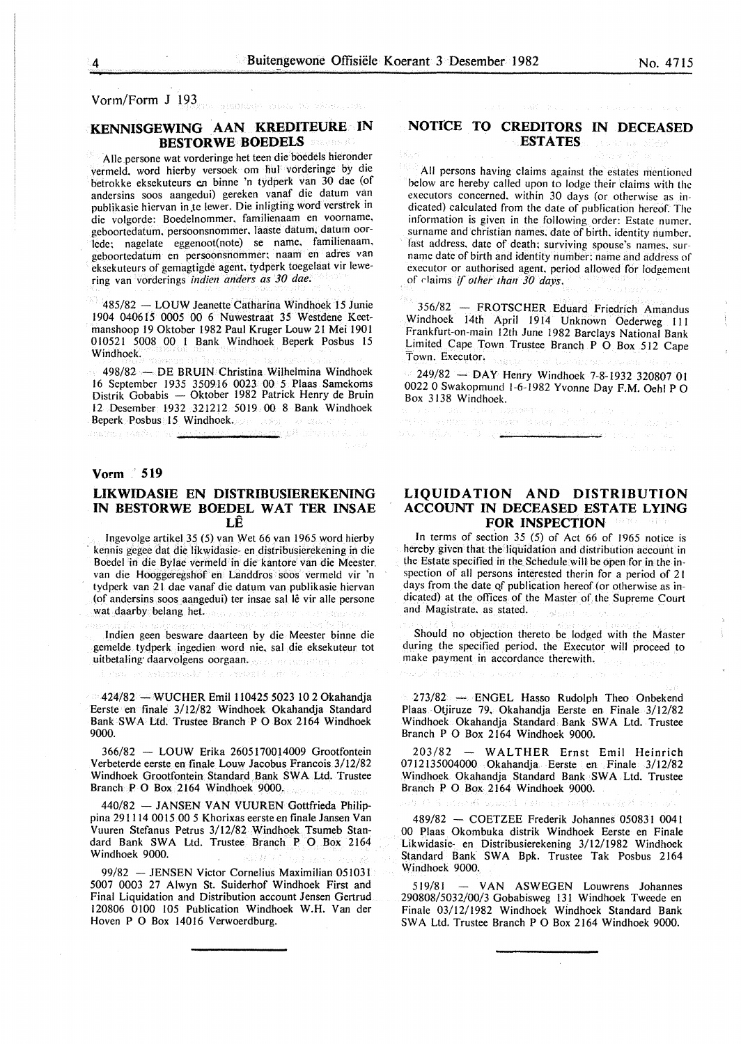# Vorm/Form J 193

# **KENNISGEWING .AAN KREDITEURE IN BESTORWE BOEDELS**

Aile persone wat vorderinge het teen die boedels hieronder vermeld. word hierby versoek om hul vorderinge by die betrokke eksekuteurs *en* binne 'n tydperk van 30 dae (of andersins soos aangedui) gereken vanaf die datum van publikasie hiervan in te lewer. Die inligting word verstrek in die volgorde: Boedelnommer, familienaam en voorname, geboortedatum, persoonsnommer, laaste datum, datum oorlede; nagelate eggenoot(note) se name, familienaam. geboortedatum en persoonsnommer; naam en adres van eksekuteurs of gemagtigde agent. tydperk toegelaat vir lewering van vorderings *indien anders as 30 dae.* 

485/82 - LOUW Jeanette Catharina Windhoek 15 Junie 1904 040615 0005 00 6 Nuwestraat 35 Westdene Keetmanshoop 19 Oktober 1982 Paul Kruger Louw 21 Mei 1901 010521 5008 00 1 Bank Windhoek Beperk Posbus 15 Windhoek.

498/82 - DE BRUIN Christina Wilhelmina Windhoek 16 September 1935 350916 0023 00 5 Plaas Samekoms Distrik Gobabis — Oktober 1982 Patrick Henry de Bruin 12 Desember 1932 321212 5019 00 8 Bank Windhoek Beperk Posbus 15 Windhoek. <u>a sama di Alemania se ma</u>

# **Vorm · 519**

npendu nesih sa sé <u>se</u>

### **LIKWIDASIE EN DISTRIBUSIEREKENING IN BESTORWE BOEDEL WAT TER INSAE LE**

lngevolge artikel 35 (5) van Wet 66 van 1965 word hierby · kennis gegee dat die likwidasie- en distribusierekening in die Boedel in die Bylae vermeld in die kantore van die Meester. van die Hooggeregshof en Landdros soos vermeld vir 'n tydperk van 21 dae vanaf die datum van publikasie hiervan (of andersins soos aangedui) ter insae sal lê vir alle persone wat daarby belang het.

Indien geen besware daarteen by die Meester binne die gemelde tydperk ingedien word nie, sal die eksekuteur tot uitbetaling daarvolgens oorgaan.<br>The architecture of the constant of the constant of the constant of the constant of the constant of the constant of the constant of the constant of the constant of the constant of the const

424/82 - WUCHER Emil 110425 5023 10 2 Okahandja

Eerste en finale 3/12/82 Windhoek Okahandja Standard Bank SWA Ltd. Trustee Branch P 0 Box 2164 Windhoek 9000.

366/82 - LOUW Erika 2605170014009 Grootfontein Verbeterde eerste en finale Louw Jacobus Francois 3/12/82 Windhoek Grootfontein Standard Bank SW A Ltd. Trustee Branch P 0 Box 2164 Windhoek 9000.

440/82 - JANSEN VAN VUUREN Gottfrieda Philippina 291114 0015 00 5 Khorixas eerste en finale Jansen Van Vuuren Stefanus Petrus 3/12/82 Windhoek Tsumeb Standard Bank SWA Ltd. Trustee Branch P O Box 2164 Windhoek 9000.

99/82 - JENSEN Victor Cornelius Maximilian 051031 5007 0003 27 Alwyn St. Suiderhof Windhoek First and Final Liquidation and Distribution account Jensen Gertrud 120806 0100 105 Publication Windhoek W.H. Van der Hoven P 0 Box 14016 Verwoerdburg.

# **NOTICE TO CREDITORS IN DECEASED ESTATES**

All persons having claims against the estates mentioned below are hereby called upon to lodge their claims with the executors concerned. within 30 days (or otherwise as indicated) calculated from the date of publication hereof. The information is given in the following order: Estate numer. surname and christian names. date of birth. identity number. last address, date of death; surviving spouse's names, surname date of birth and identity number; name and address of executor or authorised agent. period allowed for lodgement of rlaims if *other than 30 days.* 

356/82 - FROTSCHER Eduard Friedrich Amandus Windhoek 14th April 1914 Unknown Oederweg III Frankfurt-on-main 12th June 1982 Barclays National Bank Limited Cape Town Trustee Branch P 0 Box 512 Cape Town. Executor.

249/82 - DAY Henry Windhoek 7-8-1932 320807 01 0022 0 Swakopmund 1-6-1982 Yvonne Day F.M. Oehl P 0 Box 3138 Windhoek.

va sveden islam izforda i miljarja هوي لأحدث مُنتَهِلاً جاء م

# **LIQUIDATION AND DISTRIBUTION ACCOUNT IN DECEASED ESTATE LYING FOR INSPECTION**

In terms of section  $35$  (5) of Act 66 of 1965 notice is hereby given that the liquidation and distribution account in the Estate specified in the Schedule will be open for in the inspection of all persons interested therin for a period of 21 days from the date of publication hereof (or otherwise as indicated) at the offices of the Master of the Supreme Court and Magistrate. as stated.

Should no objection thereto be lodged with the Master during the specified period, the Executor will proceed to make payment in accordance therewith.

بالمحافظ ماليا

273/82 - ENGEL Hasso Rudolph Theo Onbekend Plaas Otjiruze 79. Okahandja Eerste en Finale 3/12/82 Windhoek Okahandja Standard Bank SWA Ltd. Trustee Branch P 0 Box 2164 Windhoek 9000.

203/82 - WALTHER Ernst Emil Heinrich 0712135004000 Okahandja Eerste en. Finale 3/12/82 Windhoek Okahandia Standard Bank SWA Ltd. Trustee Branch P 0 Box 2164 Windhoek 9000.

a sa Japon - 43 나는 영화로 된

489/82 - COETZEE Frederik Johannes 050831 0041 00 Plaas Okombuka distrik Windhoek Eerste en Finale Likwidasie- en Distribusierekening 3/12/1982 Windhoek Standard Bank SWA Bpk. Trustee Tak Posbus 2164 Windhoek 9000.

519/81 - VAN ASWEGEN Louwrens Johannes 290808/5032/00/3 Gobabisweg 131 Windhoek Tweede en Finale 03/12/1982 Windhoek Windhoek Standard Bank SWA Ltd. Trustee Branch P 0 Box 2164 Windhoek 9000.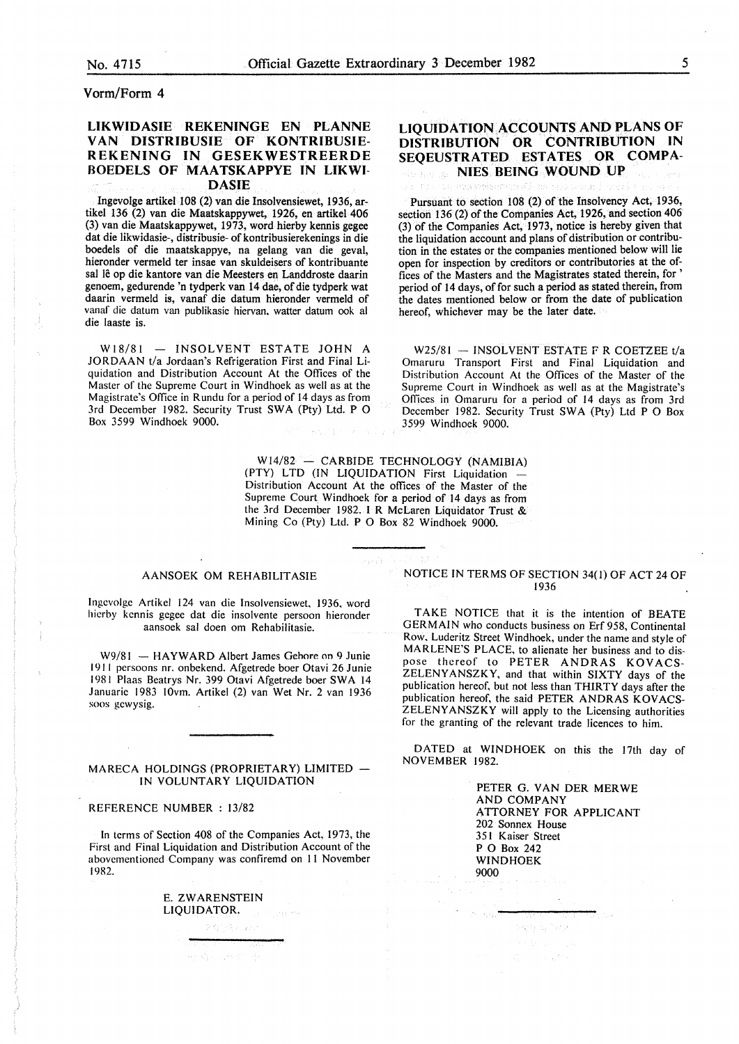## Vorm/Form 4

# LIKWIDASIE REKENINGE EN PLANNE VAN DISTRIBUSIE OF KONTRIBUSIE-REKENING IN GESEKWESTREERDE BOEDELS OF MAATSKAPPYE IN LIKWI-DASIE

Ingevolge artikel 108 (2) van die Insolvensiewet, 1936, artikel 136 (2) van die Maatskappywet, 1926, en artikel 406 (3) van die Maatskappywet, 1973, word hierby kennis gegee dat die likwidasie-, distribusie- of kontribusierekenings in die boedels of die maatskappye, na gelang van die geval, hieronder vermeld ter insae van skuldeisers of kontribuante sal lê op die kantore van die Meesters en Landdroste daarin genoem, gedurende 'n tydperk van 14 dae, of die tydperk wat daarin vermeld is, vanaf die datum hieronder vermeld of vanaf die datum van publikasie hiervan, watter datum ook al die Iaaste is.

 $W18/81$  - INSOLVENT ESTATE JOHN A JORDAAN t/a Jordaan's Refrigeration First and Final Liquidation and Distribution Account At the Offices of the Master of the Supreme Court in Windhoek as well as at the Magistrate's Office in Rundu for a period of 14 days as from 3rd December 1982. Security Trust SWA (Pty) Ltd. P O Box 3599 Windhoek 9000.

# LIQUIDATION ACCOUNTS AND PLANS OF DISTRIBUTION OR CONTRIBUTION IN SEQEUSTRATED ESTATES OR COMPA-NIES BEING WOUND UP

Pursuant to section 108 (2) of the Insolvency Act, 1936, section 136 (2) of the Companies Act, 1926, and section 406 (3) of the Companies Act, 1973, notice is hereby given that the liquidation account and plans of distribution or contribution in the estates or the companies mentioned below will lie open for inspection by creditors or contributories at the offices of the Masters and the Magistrates stated therein, for ' period of 14 days, of for such a period as stated therein, from the dates mentioned below or from the date of publication hereof, whichever may be the later date.

 $W25/81 - INSOLVENT ESTATE F R COETZEE t/a$ Omaruru Transport First and Final Liquidation and Distribution Account At the Offices of the Master of the Supreme Court in Windhoek as well as at the Magistrate's Offices in Omaruru for a period of 14 days as from 3rd December 1982. Security Trust SWA (Pty) Ltd P O Box 3599 Windhoek 9000.

W14/82 - CARBIDE TECHNOLOGY (NAMIBIA) (PTY) LTD (IN LIQUIDATION First Liquidation Distribution Account At the offices of the Master of the Supreme Court Windhoek for a period of 14 days as from the 3rd December 1982. I R McLaren Liquidator Trust & Mining Co (Pty) Ltd. P 0 Box 82 Windhoek 9000.

ep ji

#### AANSOEK OM REHABILITASIE

Ingcvolge Artikel 124 van die Insolvensiewet, 1936, word hicrby kcnnis gegec dat die insolvente persoon hieronder aansoek sal doen om Rehabilitasie.

W9/81 - HAYWARD Albert James Gebore on 9 Junie 1911 persoons nr. onbekend. Afgetrede boer Otavi 26 Junie 1981 Plaas Bcatrys Nr. 399 Otavi Afgetrede boer SWA 14 Januaric 1983 IOvm. Artikel (2) van Wet Nr. 2 van 1936 soos gcwysig.

#### MARECA HOLDINGS (PROPRIETARY) LIMITED IN VOLUNTARY LIQUIDATION

#### REFERENCE NUMBER : 13/82

In terms of Section 408 of the Companies Act, 1973, the First and Final Liquidation and Distribution Account of the abovementioned Company was confiremd on ll November 1982.

文献情報のお

化精心 地质 型

E. ZW ARENSTEIN LIQUIDATOR. un sugares

#### NOTICE IN TERMS OF SECTION 34(1) OF ACT 24 OF 1936

TAKE NOTICE that it is the intention of BEATE GERMAIN who conducts business on Erf 958, Continental Row, Luderitz Street Windhoek, under the name and style of MARLENE'S PLACE, to alienate her business and to dispose thereof to PETER ANDRAS KOVACS-ZELENYANSZKY, and that within SIXTY days of the publication hereof, but not less than THIRTY days after the publication hereof, the said PETER ANDRAS KOVACS-ZELENYANSZKY will apply to the Licensing authorities for the granting of the relevant trade licences to him.

DATED at WINDHOEK on this the 17th day of NOVEMBER 1982.

egy gitany

 $\bar{\tau}_\perp \bar{\tau}_\perp$ 

PETER G. VAN DER MER WE AND COMPANY ATTORNEY FOR APPLICANT 202 Sonnex House 351 Kaiser Street P 0 Box 242 WINDHOEK 9000